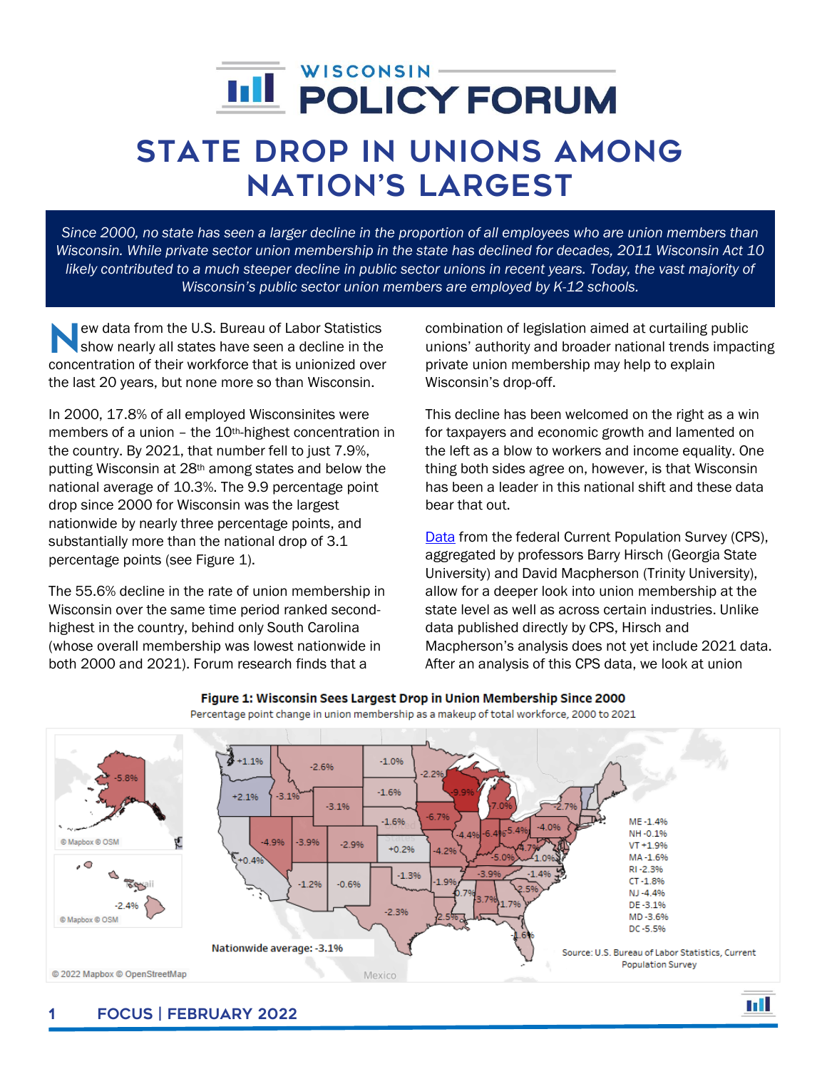# $\overline{a}$

## State Drop in Unions Among Nation's Largest

*Since 2000, no state has seen a larger decline in the proportion of all employees who are union members than Wisconsin. While private sector union membership in the state has declined for decades, 2011 Wisconsin Act 10 likely contributed to a much steeper decline in public sector unions in recent years. Today, the vast majority of Wisconsin's public sector union members are employed by K-12 schools.*

ew data from the U.S. Bureau of Labor Statistics show nearly all states have seen a decline in the ew data from the U.S. Bureau of Labor Statistics<br>show nearly all states have seen a decline in the<br>concentration of their workforce that is unionized over the last 20 years, but none more so than Wisconsin.

In 2000, 17.8% of all employed Wisconsinites were members of a union – the 10th-highest concentration in the country. By 2021, that number fell to just 7.9%, putting Wisconsin at 28th among states and below the national average of 10.3%. The 9.9 percentage point drop since 2000 for Wisconsin was the largest nationwide by nearly three percentage points, and substantially more than the national drop of 3.1 percentage points (see Figure 1).

The 55.6% decline in the rate of union membership in Wisconsin over the same time period ranked secondhighest in the country, behind only South Carolina (whose overall membership was lowest nationwide in both 2000 and 2021). Forum research finds that a

combination of legislation aimed at curtailing public unions' authority and broader national trends impacting private union membership may help to explain Wisconsin's drop-off.

This decline has been welcomed on the right as a win for taxpayers and economic growth and lamented on the left as a blow to workers and income equality. One thing both sides agree on, however, is that Wisconsin has been a leader in this national shift and these data bear that out.

[Data](http://www.unionstats.com/) from the federal Current Population Survey (CPS), aggregated by professors Barry Hirsch (Georgia State University) and David Macpherson (Trinity University), allow for a deeper look into union membership at the state level as well as across certain industries. Unlike data published directly by CPS, Hirsch and Macpherson's analysis does not yet include 2021 data. After an analysis of this CPS data, we look at union

ыI



#### Figure 1: Wisconsin Sees Largest Drop in Union Membership Since 2000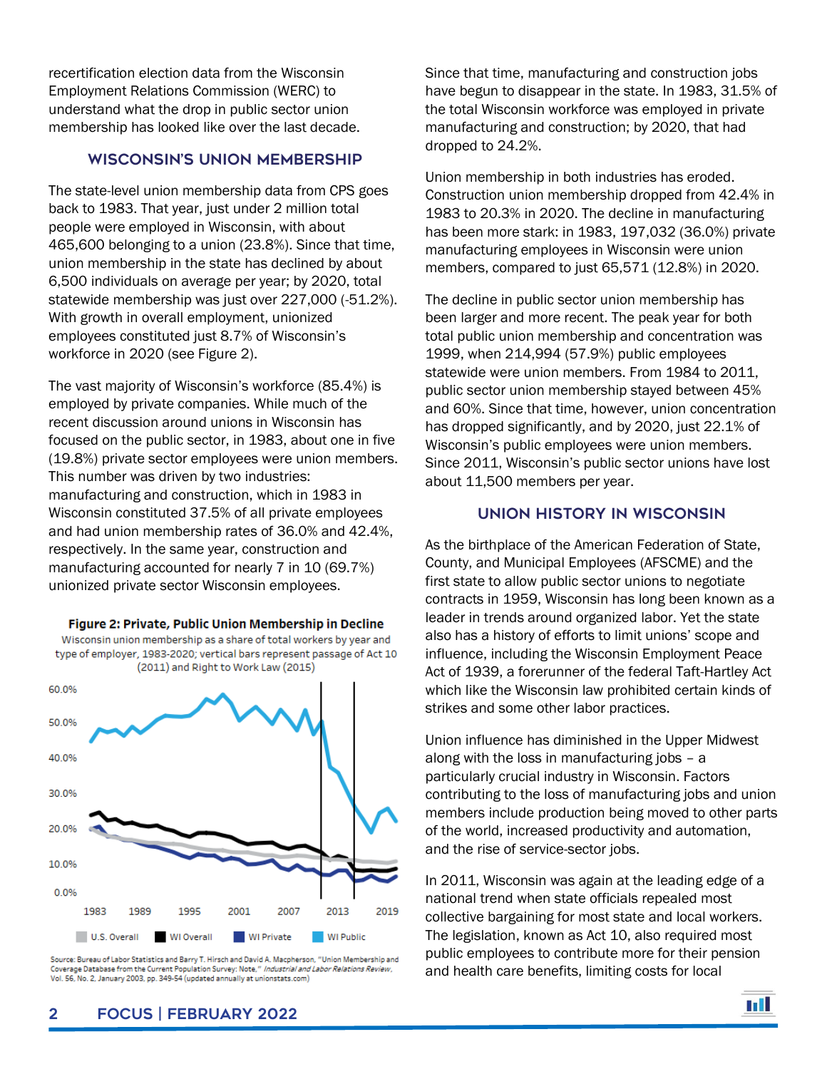recertification election data from the Wisconsin Employment Relations Commission (WERC) to understand what the drop in public sector union membership has looked like over the last decade.

#### Wisconsin's Union Membership

The state-level union membership data from CPS goes back to 1983. That year, just under 2 million total people were employed in Wisconsin, with about 465,600 belonging to a union (23.8%). Since that time, union membership in the state has declined by about 6,500 individuals on average per year; by 2020, total statewide membership was just over 227,000 (-51.2%). With growth in overall employment, unionized employees constituted just 8.7% of Wisconsin's workforce in 2020 (see Figure 2).

The vast majority of Wisconsin's workforce (85.4%) is employed by private companies. While much of the recent discussion around unions in Wisconsin has focused on the public sector, in 1983, about one in five (19.8%) private sector employees were union members. This number was driven by two industries: manufacturing and construction, which in 1983 in Wisconsin constituted 37.5% of all private employees and had union membership rates of 36.0% and 42.4%, respectively. In the same year, construction and manufacturing accounted for nearly 7 in 10 (69.7%) unionized private sector Wisconsin employees.

Figure 2: Private, Public Union Membership in Decline Wisconsin union membership as a share of total workers by year and type of employer, 1983-2020; vertical bars represent passage of Act 10 (2011) and Right to Work Law (2015) 60.0%



Source: Bureau of Labor Statistics and Barry T. Hirsch and David A. Macpherson, "Union Membership and Coverage Database from the Current Population Survey: Note," Industrial and Labor Relations Review, Vol. 56, No. 2, January 2003, pp. 349-54 (updated annually at unionstats.com)

Since that time, manufacturing and construction jobs have begun to disappear in the state. In 1983, 31.5% of the total Wisconsin workforce was employed in private manufacturing and construction; by 2020, that had dropped to 24.2%.

Union membership in both industries has eroded. Construction union membership dropped from 42.4% in 1983 to 20.3% in 2020. The decline in manufacturing has been more stark: in 1983, 197,032 (36.0%) private manufacturing employees in Wisconsin were union members, compared to just 65,571 (12.8%) in 2020.

The decline in public sector union membership has been larger and more recent. The peak year for both total public union membership and concentration was 1999, when 214,994 (57.9%) public employees statewide were union members. From 1984 to 2011, public sector union membership stayed between 45% and 60%. Since that time, however, union concentration has dropped significantly, and by 2020, just 22.1% of Wisconsin's public employees were union members. Since 2011, Wisconsin's public sector unions have lost about 11,500 members per year.

#### Union History in Wisconsin

As the birthplace of the American Federation of State, County, and Municipal Employees (AFSCME) and the first state to allow public sector unions to negotiate contracts in 1959, Wisconsin has long been known as a leader in trends around organized labor. Yet the state also has a history of efforts to limit unions' scope and influence, including the Wisconsin Employment Peace Act of 1939, a forerunner of the federal Taft-Hartley Act which like the Wisconsin law prohibited certain kinds of strikes and some other labor practices.

Union influence has diminished in the Upper Midwest along with the loss in manufacturing jobs – a particularly crucial industry in Wisconsin. Factors contributing to the loss of manufacturing jobs and union members include production being moved to other parts of the world, increased productivity and automation, and the rise of service-sector jobs.

In 2011, Wisconsin was again at the leading edge of a national trend when state officials repealed most collective bargaining for most state and local workers. The legislation, known as Act 10, also required most public employees to contribute more for their pension and health care benefits, limiting costs for local